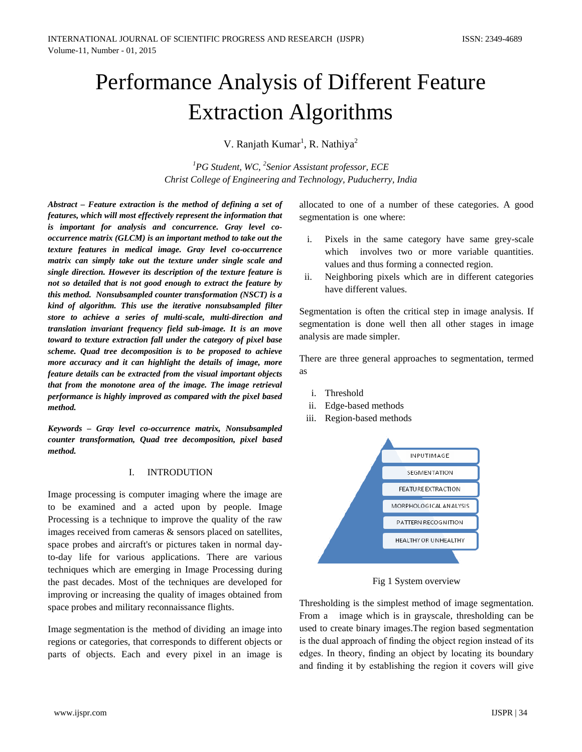# Performance Analysis of Different Feature Extraction Algorithms

V. Ranjath Kumar<sup>1</sup>, R. Nathiya<sup>2</sup>

*1 PG Student, WC, 2 Senior Assistant professor, ECE Christ College of Engineering and Technology, Puducherry, India*

*Abstract – Feature extraction is the method of defining a set of features, which will most effectively represent the information that is important for analysis and concurrence. Gray level cooccurrence matrix (GLCM) is an important method to take out the texture features in medical image. Gray level co-occurrence matrix can simply take out the texture under single scale and single direction. However its description of the texture feature is not so detailed that is not good enough to extract the feature by this method. Nonsubsampled counter transformation (NSCT) is a kind of algorithm. This use the iterative nonsubsampled filter store to achieve a series of multi-scale, multi-direction and translation invariant frequency field sub-image. It is an move toward to texture extraction fall under the category of pixel base scheme. Quad tree decomposition is to be proposed to achieve more accuracy and it can highlight the details of image, more feature details can be extracted from the visual important objects that from the monotone area of the image. The image retrieval performance is highly improved as compared with the pixel based method.*

*Keywords – Gray level co-occurrence matrix, Nonsubsampled counter transformation, Quad tree decomposition, pixel based method.*

#### I. INTRODUTION

Image processing is computer imaging where the image are to be examined and a acted upon by people. Image Processing is a technique to improve the quality of the raw images received from cameras & sensors placed on satellites, space probes and aircraft's or pictures taken in normal dayto-day life for various applications. There are various techniques which are emerging in Image Processing during the past decades. Most of the techniques are developed for improving or increasing the quality of images obtained from space probes and military reconnaissance flights.

Image segmentation is the method of dividing an image into regions or categories, that corresponds to different objects or parts of objects. Each and every pixel in an image is allocated to one of a number of these categories. A good segmentation is one where:

- i. Pixels in the same category have same grey-scale which involves two or more variable quantities. values and thus forming a connected region.
- ii. Neighboring pixels which are in different categories have different values.

Segmentation is often the critical step in image analysis. If segmentation is done well then all other stages in image analysis are made simpler.

There are three general approaches to segmentation, termed as

- i. Threshold
- ii. Edge-based methods
- iii. Region-based methods



Fig 1 System overview

Thresholding is the simplest method of image segmentation. From a image which is in grayscale, thresholding can be used to create binary images.The region based segmentation is the dual approach of finding the object region instead of its edges. In theory, finding an object by locating its boundary and finding it by establishing the region it covers will give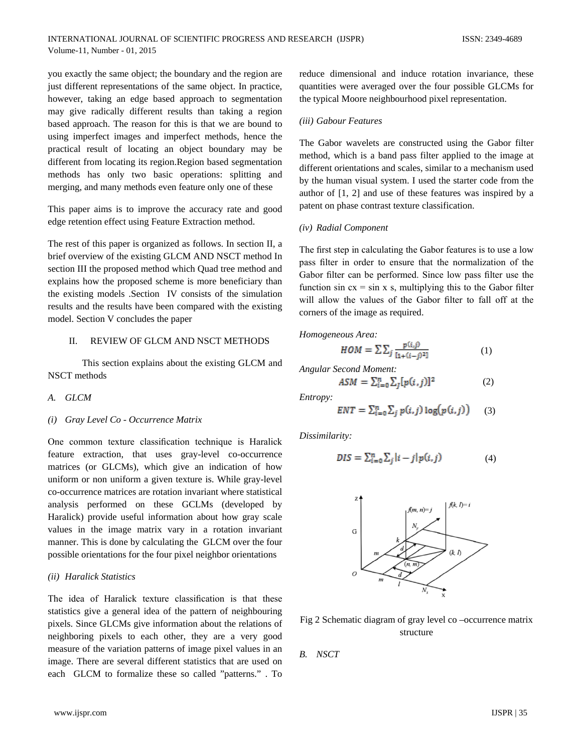you exactly the same object; the boundary and the region are just different representations of the same object. In practice, however, taking an edge based approach to segmentation may give radically different results than taking a region based approach. The reason for this is that we are bound to using imperfect images and imperfect methods, hence the practical result of locating an object boundary may be different from locating its region.Region based segmentation methods has only two basic operations: splitting and merging, and many methods even feature only one of these

This paper aims is to improve the accuracy rate and good edge retention effect using Feature Extraction method.

The rest of this paper is organized as follows. In section II, a brief overview of the existing GLCM AND NSCT method In section III the proposed method which Quad tree method and explains how the proposed scheme is more beneficiary than the existing models .Section IV consists of the simulation results and the results have been compared with the existing model. Section V concludes the paper

#### II. REVIEW OF GLCM AND NSCT METHODS

This section explains about the existing GLCM and NSCT methods

*A. GLCM*

#### *(i) Gray Level Co - Occurrence Matrix*

One common texture classification technique is Haralick feature extraction, that uses gray-level co-occurrence matrices (or GLCMs), which give an indication of how uniform or non uniform a given texture is. While gray-level co-occurrence matrices are rotation invariant where statistical analysis performed on these GCLMs (developed by Haralick) provide useful information about how gray scale values in the image matrix vary in a rotation invariant manner. This is done by calculating the GLCM over the four possible orientations for the four pixel neighbor orientations

#### *(ii) Haralick Statistics*

The idea of Haralick texture classification is that these statistics give a general idea of the pattern of neighbouring pixels. Since GLCMs give information about the relations of neighboring pixels to each other, they are a very good measure of the variation patterns of image pixel values in an image. There are several different statistics that are used on each GLCM to formalize these so called "patterns." . To

reduce dimensional and induce rotation invariance, these quantities were averaged over the four possible GLCMs for the typical Moore neighbourhood pixel representation.

#### *(iii) Gabour Features*

The Gabor wavelets are constructed using the Gabor filter method, which is a band pass filter applied to the image at different orientations and scales, similar to a mechanism used by the human visual system. I used the starter code from the author of [1, 2] and use of these features was inspired by a patent on phase contrast texture classification.

#### *(iv) Radial Component*

The first step in calculating the Gabor features is to use a low pass filter in order to ensure that the normalization of the Gabor filter can be performed. Since low pass filter use the function sin  $cx = \sin x$  s, multiplying this to the Gabor filter will allow the values of the Gabor filter to fall off at the corners of the image as required.

*Homogeneous Area:*

$$
HOM = \sum \sum_{j} \frac{p(i,j)}{[i+(i-i)^2]} \tag{1}
$$

*Angular Second Moment:*

$$
ASM = \sum_{i=0}^{n} \sum_{j} [p(i,j)]^2
$$
 (2)

*Entropy:*

$$
ENT = \sum_{i=0}^{n} \sum_{j} p(i,j) \log(p(i,j)) \qquad (3)
$$

*Dissimilarity:*

$$
DIS = \sum_{i=0}^{n} \sum_{j} |i-j| p(i,j)
$$
 (4)



Fig 2 Schematic diagram of gray level co –occurrence matrix structure

*B. NSCT*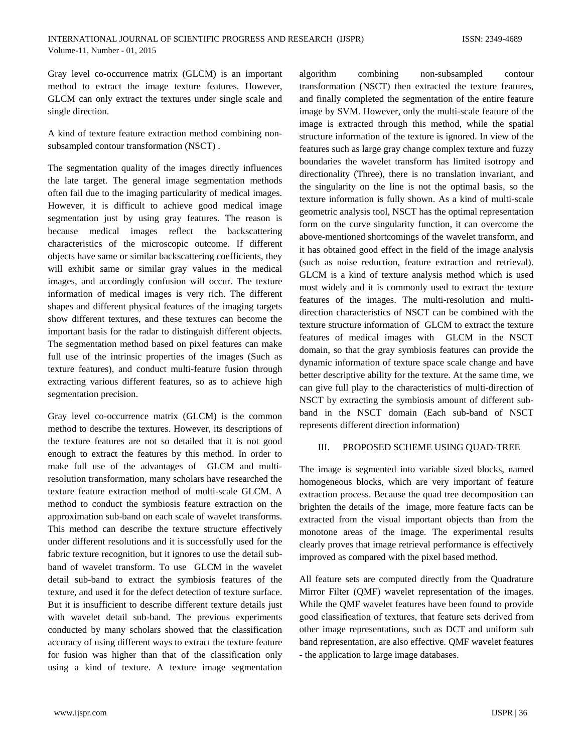Gray level co-occurrence matrix (GLCM) is an important method to extract the image texture features. However, GLCM can only extract the textures under single scale and single direction.

A kind of texture feature extraction method combining nonsubsampled contour transformation (NSCT) .

The segmentation quality of the images directly influences the late target. The general image segmentation methods often fail due to the imaging particularity of medical images. However, it is difficult to achieve good medical image segmentation just by using gray features. The reason is because medical images reflect the backscattering characteristics of the microscopic outcome. If different objects have same or similar backscattering coefficients, they will exhibit same or similar gray values in the medical images, and accordingly confusion will occur. The texture information of medical images is very rich. The different shapes and different physical features of the imaging targets show different textures, and these textures can become the important basis for the radar to distinguish different objects. The segmentation method based on pixel features can make full use of the intrinsic properties of the images (Such as texture features), and conduct multi-feature fusion through extracting various different features, so as to achieve high segmentation precision.

Gray level co-occurrence matrix (GLCM) is the common method to describe the textures. However, its descriptions of the texture features are not so detailed that it is not good enough to extract the features by this method. In order to make full use of the advantages of GLCM and multiresolution transformation, many scholars have researched the texture feature extraction method of multi-scale GLCM. A method to conduct the symbiosis feature extraction on the approximation sub-band on each scale of wavelet transforms. This method can describe the texture structure effectively under different resolutions and it is successfully used for the fabric texture recognition, but it ignores to use the detail subband of wavelet transform. To use GLCM in the wavelet detail sub-band to extract the symbiosis features of the texture, and used it for the defect detection of texture surface. But it is insufficient to describe different texture details just with wavelet detail sub-band. The previous experiments conducted by many scholars showed that the classification accuracy of using different ways to extract the texture feature for fusion was higher than that of the classification only using a kind of texture. A texture image segmentation

algorithm combining non-subsampled contour transformation (NSCT) then extracted the texture features, and finally completed the segmentation of the entire feature image by SVM. However, only the multi-scale feature of the image is extracted through this method, while the spatial structure information of the texture is ignored. In view of the features such as large gray change complex texture and fuzzy boundaries the wavelet transform has limited isotropy and directionality (Three), there is no translation invariant, and the singularity on the line is not the optimal basis, so the texture information is fully shown. As a kind of multi-scale geometric analysis tool, NSCT has the optimal representation form on the curve singularity function, it can overcome the above-mentioned shortcomings of the wavelet transform, and it has obtained good effect in the field of the image analysis (such as noise reduction, feature extraction and retrieval). GLCM is a kind of texture analysis method which is used most widely and it is commonly used to extract the texture features of the images. The multi-resolution and multidirection characteristics of NSCT can be combined with the texture structure information of GLCM to extract the texture features of medical images with GLCM in the NSCT domain, so that the gray symbiosis features can provide the dynamic information of texture space scale change and have better descriptive ability for the texture. At the same time, we can give full play to the characteristics of multi-direction of NSCT by extracting the symbiosis amount of different subband in the NSCT domain (Each sub-band of NSCT represents different direction information)

#### III. PROPOSED SCHEME USING QUAD-TREE

The image is segmented into variable sized blocks, named homogeneous blocks, which are very important of feature extraction process. Because the quad tree decomposition can brighten the details of the image, more feature facts can be extracted from the visual important objects than from the monotone areas of the image. The experimental results clearly proves that image retrieval performance is effectively improved as compared with the pixel based method.

All feature sets are computed directly from the Quadrature Mirror Filter (QMF) wavelet representation of the images. While the QMF wavelet features have been found to provide good classification of textures, that feature sets derived from other image representations, such as DCT and uniform sub band representation, are also effective. QMF wavelet features - the application to large image databases.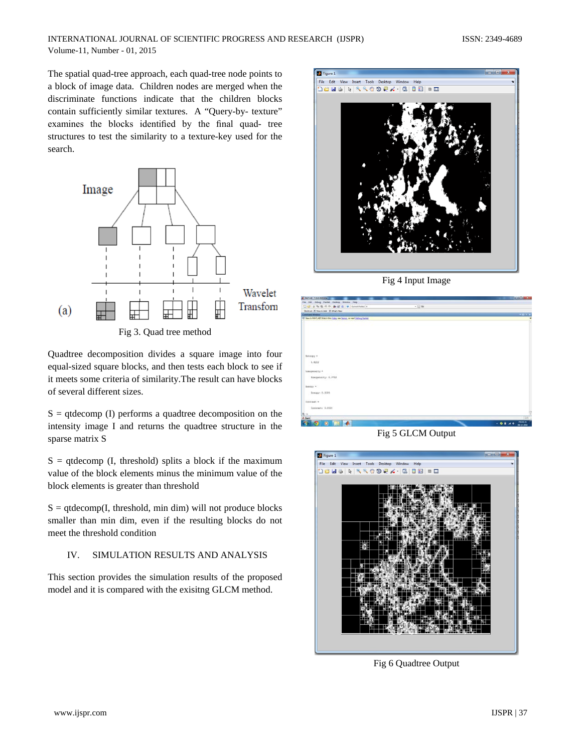The spatial quad-tree approach, each quad-tree node points to a block of image data. Children nodes are merged when the discriminate functions indicate that the children blocks contain sufficiently similar textures. A "Query-by- texture" examines the blocks identified by the final quad- tree structures to test the similarity to a texture-key used for the search.



Fig 3. Quad tree method

Quadtree decomposition divides a square image into four equal-sized square blocks, and then tests each block to see if it meets some criteria of similarity.The result can have blocks of several different sizes.

 $S =$  qtdecomp (I) performs a quadtree decomposition on the intensity image I and returns the quadtree structure in the sparse matrix S

 $S =$  qtdecomp (I, threshold) splits a block if the maximum value of the block elements minus the minimum value of the block elements is greater than threshold

 $S = q$ tdecomp $(I,$  threshold, min dim) will not produce blocks smaller than min dim, even if the resulting blocks do not meet the threshold condition

## IV. SIMULATION RESULTS AND ANALYSIS

This section provides the simulation results of the proposed model and it is compared with the exisitng GLCM method.



Fig 4 Input Image



Fig 5 GLCM Output



Fig 6 Quadtree Output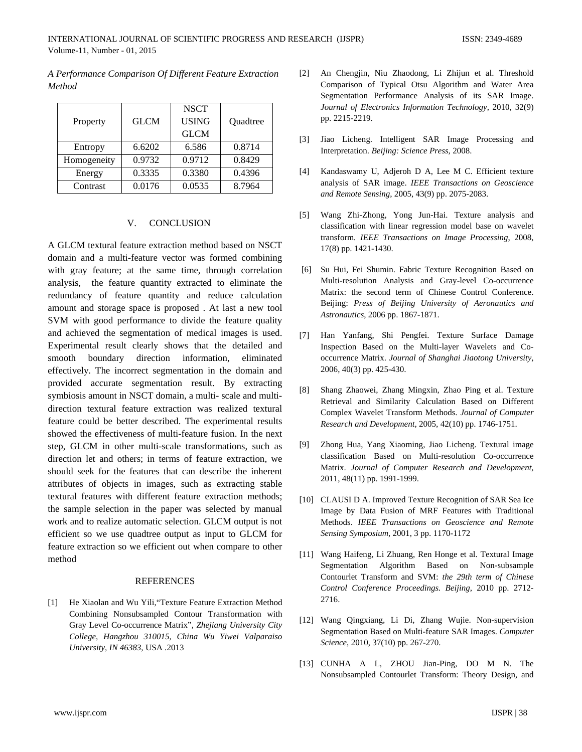*A Performance Comparison Of Different Feature Extraction Method*

|             |             | <b>NSCT</b>  |          |
|-------------|-------------|--------------|----------|
| Property    | <b>GLCM</b> | <b>USING</b> | Quadtree |
|             |             | <b>GLCM</b>  |          |
| Entropy     | 6.6202      | 6.586        | 0.8714   |
| Homogeneity | 0.9732      | 0.9712       | 0.8429   |
| Energy      | 0.3335      | 0.3380       | 0.4396   |
| Contrast    | 0.0176      | 0.0535       | 8.7964   |

### V. CONCLUSION

A GLCM textural feature extraction method based on NSCT domain and a multi-feature vector was formed combining with gray feature; at the same time, through correlation analysis, the feature quantity extracted to eliminate the redundancy of feature quantity and reduce calculation amount and storage space is proposed . At last a new tool SVM with good performance to divide the feature quality and achieved the segmentation of medical images is used. Experimental result clearly shows that the detailed and smooth boundary direction information, eliminated effectively. The incorrect segmentation in the domain and provided accurate segmentation result. By extracting symbiosis amount in NSCT domain, a multi- scale and multidirection textural feature extraction was realized textural feature could be better described. The experimental results showed the effectiveness of multi-feature fusion. In the next step, GLCM in other multi-scale transformations, such as direction let and others; in terms of feature extraction, we should seek for the features that can describe the inherent attributes of objects in images, such as extracting stable textural features with different feature extraction methods; the sample selection in the paper was selected by manual work and to realize automatic selection. GLCM output is not efficient so we use quadtree output as input to GLCM for feature extraction so we efficient out when compare to other method

## REFERENCES

[1] He Xiaolan and Wu Yili,"Texture Feature Extraction Method Combining Nonsubsampled Contour Transformation with Gray Level Co-occurrence Matrix"*, Zhejiang University City College, Hangzhou 310015, China Wu Yiwei Valparaiso University, IN 46383,* USA *.*2013

- [2] An Chengjin, Niu Zhaodong, Li Zhijun et al. Threshold Comparison of Typical Otsu Algorithm and Water Area Segmentation Performance Analysis of its SAR Image. *Journal of Electronics Information Technology*, 2010, 32(9) pp. 2215-2219.
- [3] Jiao Licheng. Intelligent SAR Image Processing and Interpretation. *Beijing: Science Press*, 2008.
- [4] Kandaswamy U, Adjeroh D A, Lee M C. Efficient texture analysis of SAR image. *IEEE Transactions on Geoscience and Remote Sensing*, 2005, 43(9) pp. 2075-2083.
- [5] Wang Zhi-Zhong, Yong Jun-Hai. Texture analysis and classification with linear regression model base on wavelet transform*. IEEE Transactions on Image Processing*, 2008, 17(8) pp. 1421-1430.
- [6] Su Hui, Fei Shumin. Fabric Texture Recognition Based on Multi-resolution Analysis and Gray-level Co-occurrence Matrix: the second term of Chinese Control Conference. Beijing: *Press of Beijing University of Aeronautics and Astronautics*, 2006 pp. 1867-1871.
- [7] Han Yanfang, Shi Pengfei. Texture Surface Damage Inspection Based on the Multi-layer Wavelets and Cooccurrence Matrix. *Journal of Shanghai Jiaotong University*, 2006, 40(3) pp. 425-430.
- [8] Shang Zhaowei, Zhang Mingxin, Zhao Ping et al. Texture Retrieval and Similarity Calculation Based on Different Complex Wavelet Transform Methods. *Journal of Computer Research and Development*, 2005, 42(10) pp. 1746-1751.
- [9] Zhong Hua, Yang Xiaoming, Jiao Licheng. Textural image classification Based on Multi-resolution Co-occurrence Matrix. *Journal of Computer Research and Development*, 2011, 48(11) pp. 1991-1999.
- [10] CLAUSI D A. Improved Texture Recognition of SAR Sea Ice Image by Data Fusion of MRF Features with Traditional Methods. *IEEE Transactions on Geoscience and Remote Sensing Symposium*, 2001, 3 pp. 1170-1172
- [11] Wang Haifeng, Li Zhuang, Ren Honge et al. Textural Image Segmentation Algorithm Based on Non-subsample Contourlet Transform and SVM: *the 29th term of Chinese Control Conference Proceedings. Beijing*, 2010 pp. 2712- 2716.
- [12] Wang Qingxiang, Li Di, Zhang Wujie. Non-supervision Segmentation Based on Multi-feature SAR Images. *Computer Science*, 2010, 37(10) pp. 267-270.
- [13] CUNHA A L, ZHOU Jian-Ping, DO M N. The Nonsubsampled Contourlet Transform: Theory Design, and